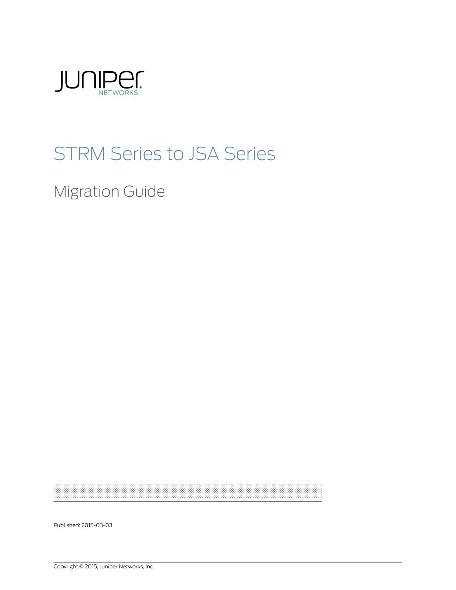

# STRM Series to JSA Series

Migration Guide

Published: 2015-03-03

Copyright © 2015, Juniper Networks, Inc.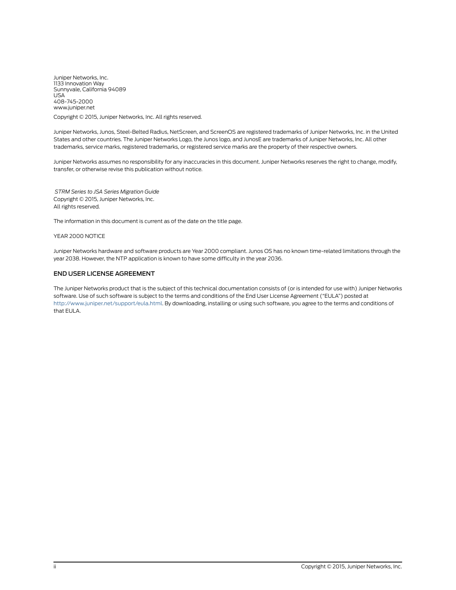Juniper Networks, Inc. 1133 Innovation Way Sunnyvale, California 94089 USA 408-745-2000 www.juniper.net

Copyright © 2015, Juniper Networks, Inc. All rights reserved.

Juniper Networks, Junos, Steel-Belted Radius, NetScreen, and ScreenOS are registered trademarks of Juniper Networks, Inc. in the United States and other countries. The Juniper Networks Logo, the Junos logo, and JunosE are trademarks of Juniper Networks, Inc. All other trademarks, service marks, registered trademarks, or registered service marks are the property of their respective owners.

Juniper Networks assumes no responsibility for any inaccuracies in this document. Juniper Networks reserves the right to change, modify, transfer, or otherwise revise this publication without notice.

*STRM Series to JSA Series Migration Guide* Copyright © 2015, Juniper Networks, Inc. All rights reserved.

The information in this document is current as of the date on the title page.

#### YEAR 2000 NOTICE

Juniper Networks hardware and software products are Year 2000 compliant. Junos OS has no known time-related limitations through the year 2038. However, the NTP application is known to have some difficulty in the year 2036.

#### END USER LICENSE AGREEMENT

The Juniper Networks product that is the subject of this technical documentation consists of (or is intended for use with) Juniper Networks software. Use of such software is subject to the terms and conditions of the End User License Agreement ("EULA") posted at <http://www.juniper.net/support/eula.html>. By downloading, installing or using such software, you agree to the terms and conditions of that EULA.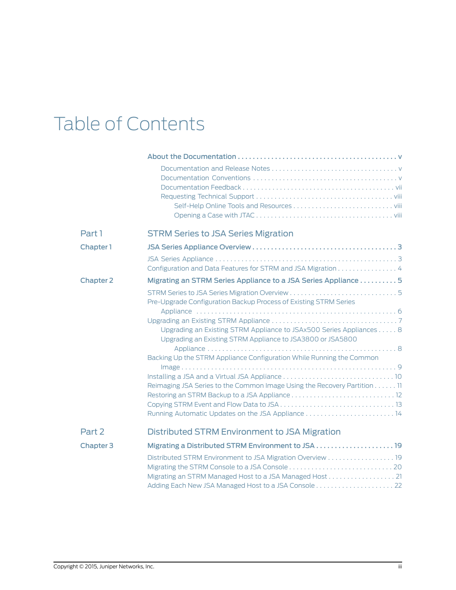# Table of Contents

| Part 1           | <b>STRM Series to JSA Series Migration</b>                                                                                        |
|------------------|-----------------------------------------------------------------------------------------------------------------------------------|
| Chapter 1        |                                                                                                                                   |
|                  | Configuration and Data Features for STRM and JSA Migration 4                                                                      |
| <b>Chapter 2</b> | Migrating an STRM Series Appliance to a JSA Series Appliance 5                                                                    |
|                  | Pre-Upgrade Configuration Backup Process of Existing STRM Series                                                                  |
|                  | Upgrading an Existing STRM Appliance to JSAx500 Series Appliances 8<br>Upgrading an Existing STRM Appliance to JSA3800 or JSA5800 |
|                  | Backing Up the STRM Appliance Configuration While Running the Common                                                              |
|                  |                                                                                                                                   |
|                  | Reimaging JSA Series to the Common Image Using the Recovery Partition 11                                                          |
| Part 2           | Distributed STRM Environment to JSA Migration                                                                                     |
| <b>Chapter 3</b> |                                                                                                                                   |
|                  | Distributed STRM Environment to JSA Migration Overview 19<br>Migrating an STRM Managed Host to a JSA Managed Host 21              |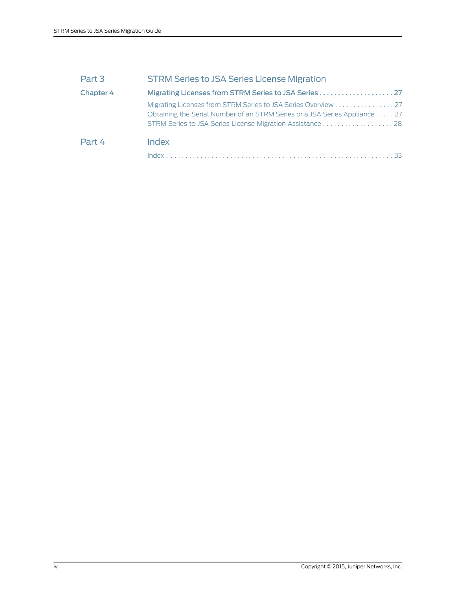| Part 3    | <b>STRM Series to JSA Series License Migration</b>                                                                                          |
|-----------|---------------------------------------------------------------------------------------------------------------------------------------------|
| Chapter 4 |                                                                                                                                             |
|           | Migrating Licenses from STRM Series to JSA Series Overview 27<br>Obtaining the Serial Number of an STRM Series or a JSA Series Appliance 27 |
| Part 4    | Index                                                                                                                                       |
|           | Index                                                                                                                                       |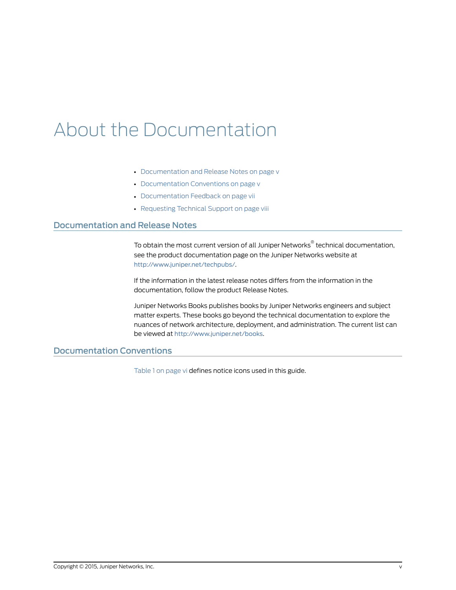# <span id="page-4-0"></span>About the Documentation

- [Documentation](#page-4-1) and Release Notes on [page](#page-4-1) v
- [Documentation](#page-4-2) Conventions on [page](#page-4-2) v
- [Documentation](#page-6-0) Feedback on [page](#page-6-0) vii
- [Requesting](#page-7-0) Technical Support on [page](#page-7-0) viii

### <span id="page-4-1"></span>Documentation and Release Notes

To obtain the most current version of all Juniper Networks ® technical documentation, see the product documentation page on the Juniper Networks website at <http://www.juniper.net/techpubs/>.

If the information in the latest release notes differs from the information in the documentation, follow the product Release Notes.

Juniper Networks Books publishes books by Juniper Networks engineers and subject matter experts. These books go beyond the technical documentation to explore the nuances of network architecture, deployment, and administration. The current list can be viewed at <http://www.juniper.net/books>.

## <span id="page-4-2"></span>Documentation Conventions

[Table](#page-5-0) 1 on page vi defines notice icons used in this guide.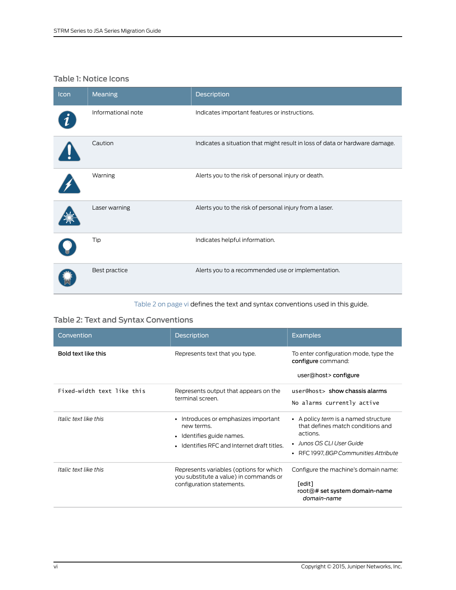# <span id="page-5-0"></span>Table 1: Notice Icons

| Icon | Meaning            | Description                                                                 |
|------|--------------------|-----------------------------------------------------------------------------|
|      | Informational note | Indicates important features or instructions.                               |
|      | Caution            | Indicates a situation that might result in loss of data or hardware damage. |
|      | Warning            | Alerts you to the risk of personal injury or death.                         |
|      | Laser warning      | Alerts you to the risk of personal injury from a laser.                     |
|      | Tip                | Indicates helpful information.                                              |
|      | Best practice      | Alerts you to a recommended use or implementation.                          |

<span id="page-5-2"></span><span id="page-5-1"></span>[Table](#page-5-1) 2 on page vi defines the text and syntax conventions used in this guide.

# Table 2: Text and Syntax Conventions

| Convention                 | <b>Description</b>                                                                                                                        | <b>Examples</b>                                                                                                                                             |
|----------------------------|-------------------------------------------------------------------------------------------------------------------------------------------|-------------------------------------------------------------------------------------------------------------------------------------------------------------|
| Bold text like this        | Represents text that you type.                                                                                                            | To enter configuration mode, type the<br>configure command:<br>user@host>configure                                                                          |
| Fixed-width text like this | Represents output that appears on the<br>terminal screen.                                                                                 | user@host> show chassis alarms<br>No alarms currently active                                                                                                |
| Italic text like this      | Introduces or emphasizes important<br>$\bullet$<br>new terms.<br>• Identifies guide names.<br>• Identifies RFC and Internet draft titles. | • A policy term is a named structure<br>that defines match conditions and<br>actions.<br>• Junos OS CLI User Guide<br>• RFC 1997, BGP Communities Attribute |
| Italic text like this      | Represents variables (options for which<br>you substitute a value) in commands or<br>configuration statements.                            | Configure the machine's domain name:<br>[edit]<br>root@# set system domain-name<br>domain-name                                                              |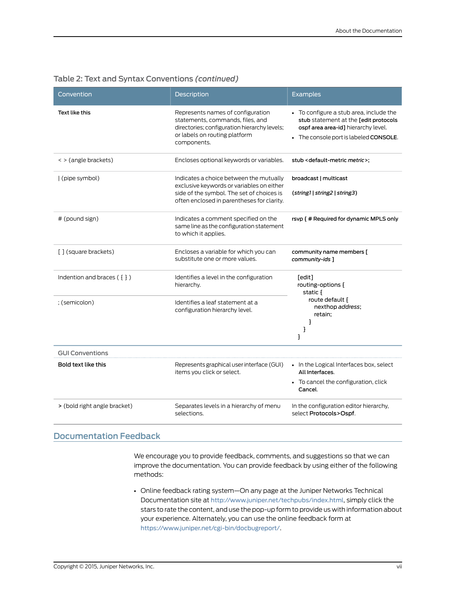<span id="page-6-5"></span><span id="page-6-4"></span><span id="page-6-3"></span><span id="page-6-2"></span><span id="page-6-1"></span>

| Convention                   | Description                                                                                                                                                                     | <b>Examples</b>                                                                                                                                                   |  |
|------------------------------|---------------------------------------------------------------------------------------------------------------------------------------------------------------------------------|-------------------------------------------------------------------------------------------------------------------------------------------------------------------|--|
| Text like this               | Represents names of configuration<br>statements, commands, files, and<br>directories; configuration hierarchy levels;<br>or labels on routing platform<br>components.           | • To configure a stub area, include the<br>stub statement at the [edit protocols<br>ospf area area-id] hierarchy level.<br>• The console port is labeled CONSOLE. |  |
| < > (angle brackets)         | Encloses optional keywords or variables.                                                                                                                                        | stub < default-metric metric>;                                                                                                                                    |  |
| (pipe symbol)                | Indicates a choice between the mutually<br>exclusive keywords or variables on either<br>side of the symbol. The set of choices is<br>often enclosed in parentheses for clarity. | broadcast   multicast<br>(string1   string2   string3)                                                                                                            |  |
| # (pound sign)               | Indicates a comment specified on the<br>same line as the configuration statement<br>to which it applies.                                                                        | rsvp { # Required for dynamic MPLS only                                                                                                                           |  |
| [] (square brackets)         | Encloses a variable for which you can<br>substitute one or more values.                                                                                                         | community name members [<br>community-ids ]                                                                                                                       |  |
| Indention and braces $(3)$   | Identifies a level in the configuration<br>hierarchy.                                                                                                                           | [edit]<br>routing-options {<br>static {                                                                                                                           |  |
| ; (semicolon)                | Identifies a leaf statement at a<br>configuration hierarchy level.                                                                                                              | route default {<br>nexthop address;<br>retain;<br>3<br>}<br>}                                                                                                     |  |
| <b>GUI Conventions</b>       |                                                                                                                                                                                 |                                                                                                                                                                   |  |
| Bold text like this          | Represents graphical user interface (GUI)<br>items you click or select.                                                                                                         | • In the Logical Interfaces box, select<br>All Interfaces.<br>• To cancel the configuration, click<br>Cancel.                                                     |  |
| > (bold right angle bracket) | Separates levels in a hierarchy of menu<br>selections.                                                                                                                          | In the configuration editor hierarchy,<br>select Protocols>Ospf.                                                                                                  |  |

## Table 2: Text and Syntax Conventions *(continued)*

## <span id="page-6-0"></span>Documentation Feedback

<span id="page-6-6"></span>We encourage you to provide feedback, comments, and suggestions so that we can improve the documentation. You can provide feedback by using either of the following methods:

• Online feedback rating system—On any page at the Juniper Networks Technical Documentation site at <http://www.juniper.net/techpubs/index.html>, simply click the stars to rate the content, and use the pop-up form to provide us with information about your experience. Alternately, you can use the online feedback form at <https://www.juniper.net/cgi-bin/docbugreport/>.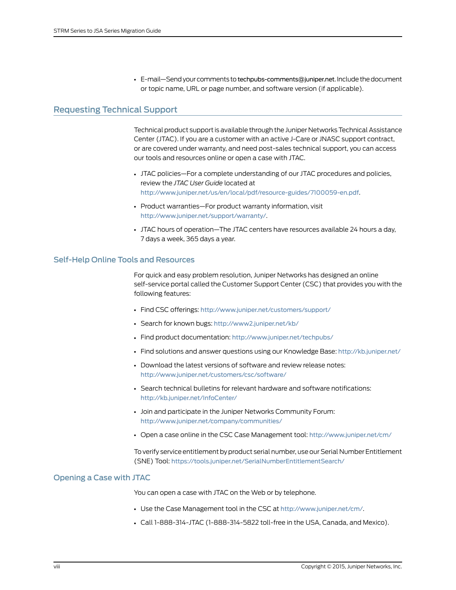• E-mail—Send your comments to [techpubs-comments@juniper.net](mailto:techpubs-comments@juniper.net?subject=). Include the document or topic name, URL or page number, and software version (if applicable).

## <span id="page-7-0"></span>Requesting Technical Support

<span id="page-7-3"></span>Technical product support is available through the Juniper NetworksTechnical Assistance Center (JTAC). If you are a customer with an active J-Care or JNASC support contract, or are covered under warranty, and need post-sales technical support, you can access our tools and resources online or open a case with JTAC.

- JTAC policies—For a complete understanding of our JTAC procedures and policies, review the *JTAC User Guide* located at <http://www.juniper.net/us/en/local/pdf/resource-guides/7100059-en.pdf>.
- Product warranties—For product warranty information, visit <http://www.juniper.net/support/warranty/>.
- JTAC hours of operation—The JTAC centers have resources available 24 hours a day, 7 days a week, 365 days a year.

### <span id="page-7-1"></span>Self-Help Online Tools and Resources

For quick and easy problem resolution, Juniper Networks has designed an online self-service portal called the Customer Support Center (CSC) that provides you with the following features:

- Find CSC offerings: <http://www.juniper.net/customers/support/>
- Search for known bugs: <http://www2.juniper.net/kb/>
- Find product documentation: <http://www.juniper.net/techpubs/>
- Find solutions and answer questions using our Knowledge Base: <http://kb.juniper.net/>
- Download the latest versions of software and review release notes: <http://www.juniper.net/customers/csc/software/>
- Search technical bulletins for relevant hardware and software notifications: <http://kb.juniper.net/InfoCenter/>
- Join and participate in the Juniper Networks Community Forum: <http://www.juniper.net/company/communities/>
- Open a case online in the CSC Case Management tool: <http://www.juniper.net/cm/>

To verify service entitlement by product serial number, use our Serial Number Entitlement (SNE) Tool: <https://tools.juniper.net/SerialNumberEntitlementSearch/>

### <span id="page-7-2"></span>Opening a Case with JTAC

You can open a case with JTAC on the Web or by telephone.

- Use the Case Management tool in the CSC at <http://www.juniper.net/cm/>.
- Call 1-888-314-JTAC (1-888-314-5822 toll-free in the USA, Canada, and Mexico).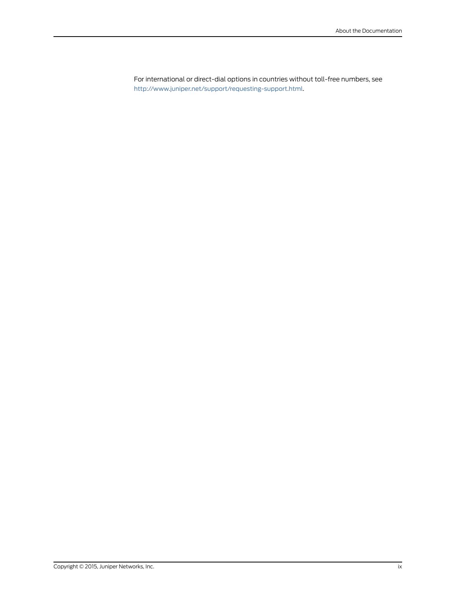For international or direct-dial options in countries without toll-free numbers, see <http://www.juniper.net/support/requesting-support.html>.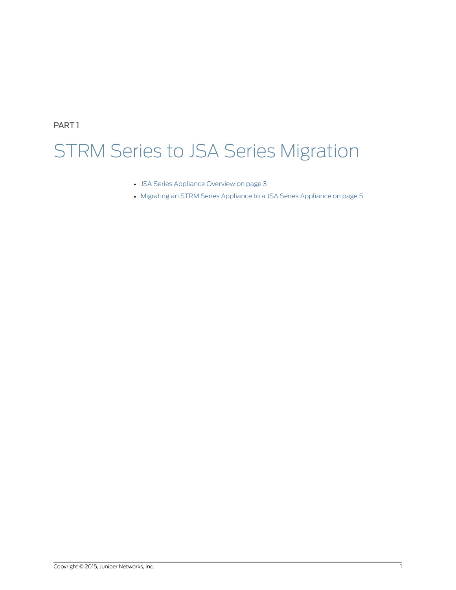<span id="page-10-0"></span>PART 1

# STRM Series to JSA Series Migration

- JSA Series [Appliance](#page-12-0) Overview on [page](#page-12-0) 3
- Migrating an STRM Series [Appliance](#page-14-0) to a JSA Series Appliance on [page](#page-14-0) 5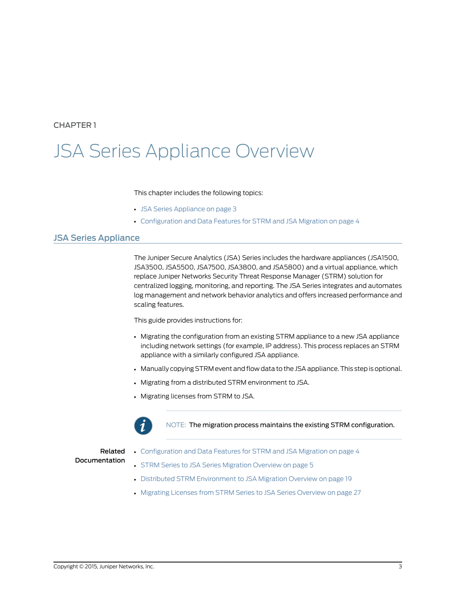## <span id="page-12-0"></span>CHAPTER 1

# JSA Series Appliance Overview

### This chapter includes the following topics:

- JSA Series [Appliance](#page-12-1) on [page](#page-12-1) 3
- <span id="page-12-2"></span>• [Configuration](#page-13-0) and Data Features for STRM and JSA Migration on [page](#page-13-0) 4

## <span id="page-12-1"></span>JSA Series Appliance

The Juniper Secure Analytics (JSA) Series includes the hardware appliances (JSA1500, JSA3500, JSA5500, JSA7500, JSA3800, and JSA5800) and a virtual appliance, which replace Juniper Networks Security Threat Response Manager (STRM) solution for centralized logging, monitoring, and reporting. The JSA Series integrates and automates log management and network behavior analytics and offers increased performance and scaling features.

This guide provides instructions for:

- Migrating the configuration from an existing STRM appliance to a new JSA appliance including network settings (for example, IP address). This process replaces an STRM appliance with a similarly configured JSA appliance.
- Manually copying STRM event and flow data to the JSA appliance.This step is optional.
- Migrating from a distributed STRM environment to JSA.
- Migrating licenses from STRM to JSA.



NOTE: The migration process maintains the existing STRM configuration.

## Related Documentation

- [Configuration](#page-13-0) and Data Features for STRM and JSA Migration on page 4
- STRM Series to JSA Series [Migration](#page-14-1) Overview on page 5
- Distributed STRM [Environment](#page-28-1) to JSA Migration Overview on page 19
- Migrating Licenses from STRM Series to JSA Series [Overview](#page-36-1) on page 27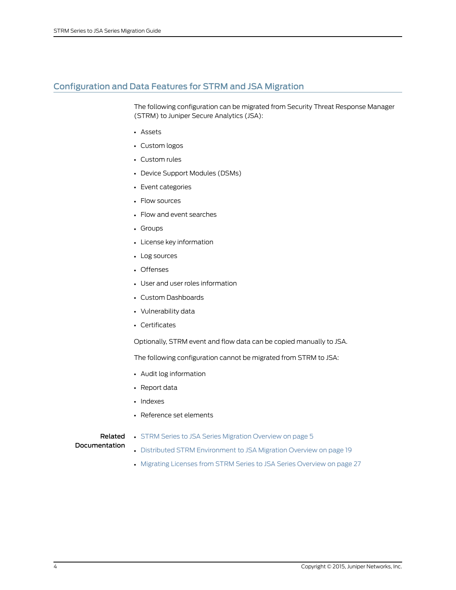# <span id="page-13-0"></span>Configuration and Data Features for STRM and JSA Migration

<span id="page-13-1"></span>The following configuration can be migrated from Security Threat Response Manager (STRM) to Juniper Secure Analytics (JSA):

- Assets
- Custom logos
- Custom rules
- Device Support Modules (DSMs)
- Event categories
- Flow sources
- Flow and event searches
- Groups
- License key information
- Log sources
- Offenses
- User and user roles information
- Custom Dashboards
- Vulnerability data
- Certificates

Optionally, STRM event and flow data can be copied manually to JSA.

The following configuration cannot be migrated from STRM to JSA:

- Audit log information
- Report data
- Indexes
- Reference set elements

### Related

# • STRM Series to JSA Series [Migration](#page-14-1) Overview on page 5

- Documentation • Distributed STRM [Environment](#page-28-1) to JSA Migration Overview on page 19
	-
	- Migrating Licenses from STRM Series to JSA Series [Overview](#page-36-1) on page 27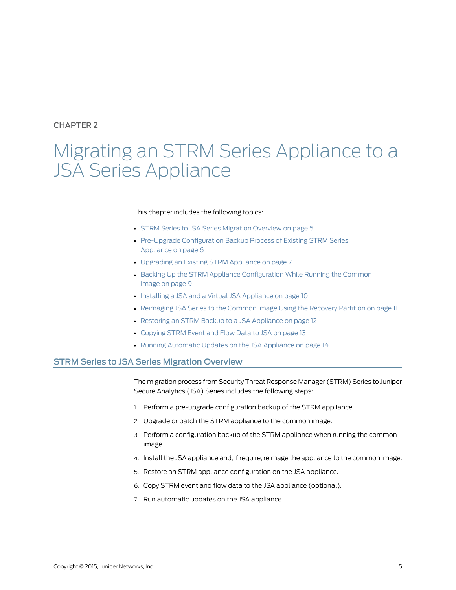## <span id="page-14-0"></span>CHAPTER 2

# Migrating an STRM Series Appliance to a JSA Series Appliance

#### This chapter includes the following topics:

- STRM Series to JSA Series [Migration](#page-14-1) Overview on [page](#page-14-1) 5
- Pre-Upgrade [Configuration](#page-15-0) Backup Process of Existing STRM Series [Appliance](#page-15-0) on [page](#page-15-0) 6
- [Upgrading](#page-16-0) an Existing STRM Appliance on [page](#page-16-0) 7
- Backing Up the STRM Appliance [Configuration](#page-18-0) While Running the Common [Image](#page-18-0) on [page](#page-18-0) 9
- Installing a JSA and a Virtual JSA [Appliance](#page-19-0) on [page](#page-19-0) 10
- [Reimaging](#page-20-0) JSA Series to the Common Image Using the Recovery Partition on [page](#page-20-0) 11
- Restoring an STRM Backup to a JSA [Appliance](#page-21-0) on [page](#page-21-0) 12
- [Copying](#page-22-0) STRM Event and Flow Data to JSA on [page](#page-22-0) 13
- <span id="page-14-2"></span>• Running [Automatic](#page-23-0) Updates on the JSA Appliance on [page](#page-23-0) 14

### <span id="page-14-1"></span>STRM Series to JSA Series Migration Overview

The migration process from Security Threat Response Manager (STRM) Series to Juniper Secure Analytics (JSA) Series includes the following steps:

- 1. Perform a pre-upgrade configuration backup of the STRM appliance.
- 2. Upgrade or patch the STRM appliance to the common image.
- 3. Perform a configuration backup of the STRM appliance when running the common image.
- 4. Install the JSA appliance and, if require, reimage the appliance to the common image.
- 5. Restore an STRM appliance configuration on the JSA appliance.
- 6. Copy STRM event and flow data to the JSA appliance (optional).
- 7. Run automatic updates on the JSA appliance.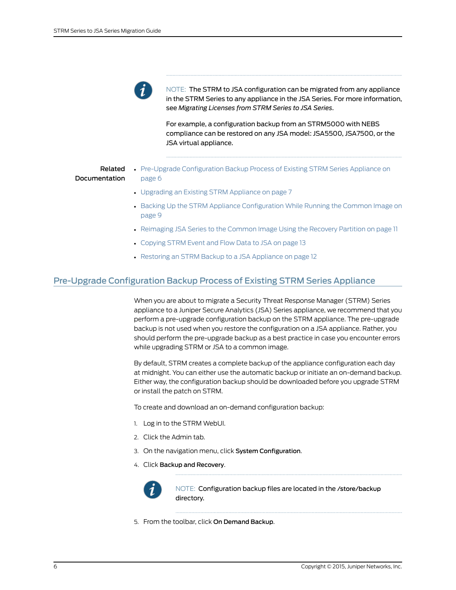

NOTE: The STRM to JSA configuration can be migrated from any appliance in the STRM Series to any appliance in the JSA Series. For more information, see *Migrating Licenses from STRM Series to JSA Series*.

For example, a configuration backup from an STRM5000 with NEBS compliance can be restored on any JSA model: JSA5500, JSA7500, or the JSA virtual appliance.

### Related Documentation

- Pre-Upgrade [Configuration](#page-15-0) Backup Process of Existing STRM Series Appliance on [page](#page-15-0) 6
- [Upgrading](#page-16-0) an Existing STRM Appliance on page 7
- Backing Up the STRM Appliance [Configuration](#page-18-0) While Running the Common Image on [page](#page-18-0) 9
- [Reimaging](#page-20-0) JSA Series to the Common Image Using the Recovery Partition on page 11
- [Copying](#page-22-0) STRM Event and Flow Data to JSA on page 13
- <span id="page-15-1"></span>• Restoring an STRM Backup to a JSA [Appliance](#page-21-0) on page 12

# <span id="page-15-0"></span>Pre-Upgrade Configuration Backup Process of Existing STRM Series Appliance

When you are about to migrate a Security Threat Response Manager (STRM) Series appliance to a Juniper Secure Analytics (JSA) Series appliance, we recommend that you perform a pre-upgrade configuration backup on the STRM appliance. The pre-upgrade backup is not used when you restore the configuration on a JSA appliance. Rather, you should perform the pre-upgrade backup as a best practice in case you encounter errors while upgrading STRM or JSA to a common image.

By default, STRM creates a complete backup of the appliance configuration each day at midnight. You can either use the automatic backup or initiate an on-demand backup. Either way, the configuration backup should be downloaded before you upgrade STRM or install the patch on STRM.

To create and download an on-demand configuration backup:

- 1. Log in to the STRM WebUI.
- 2. Click the Admin tab.
- 3. On the navigation menu, click System Configuration.
- 4. Click Backup and Recovery.



NOTE: Configuration backup files are located in the /store/backup directory.

5. From the toolbar, click On Demand Backup.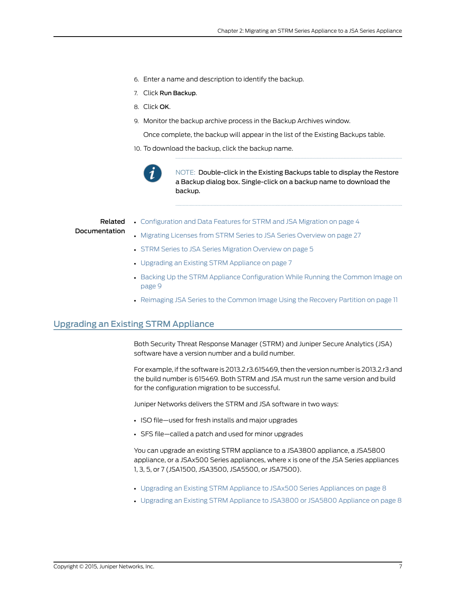- 6. Enter a name and description to identify the backup.
- 7. Click Run Backup.
- 8. Click OK.
- 9. Monitor the backup archive process in the Backup Archives window.

Once complete, the backup will appear in the list of the Existing Backups table.

10. To download the backup, click the backup name.



NOTE: Double-click in the Existing Backups table to display the Restore a Backup dialog box. Single-click on a backup name to download the backup.

### Related

### Documentation

- [Configuration](#page-13-0) and Data Features for STRM and JSA Migration on page 4
- Migrating Licenses from STRM Series to JSA Series [Overview](#page-36-1) on page 27
- STRM Series to JSA Series [Migration](#page-14-1) Overview on page 5
- [Upgrading](#page-16-0) an Existing STRM Appliance on page 7
- Backing Up the STRM Appliance [Configuration](#page-18-0) While Running the Common Image on [page](#page-18-0) 9
- <span id="page-16-1"></span>• [Reimaging](#page-20-0) JSA Series to the Common Image Using the Recovery Partition on page 11

# <span id="page-16-0"></span>Upgrading an Existing STRM Appliance

Both Security Threat Response Manager (STRM) and Juniper Secure Analytics (JSA) software have a version number and a build number.

For example, if the software is 2013.2.r3.615469, then the version number is 2013.2.r3 and the build number is 615469. Both STRM and JSA must run the same version and build for the configuration migration to be successful.

Juniper Networks delivers the STRM and JSA software in two ways:

- ISO file—used for fresh installs and major upgrades
- SFS file—called a patch and used for minor upgrades

You can upgrade an existing STRM appliance to a JSA3800 appliance, a JSA5800 appliance, or a JSAx500 Series appliances, where x is one of the JSA Series appliances 1, 3, 5, or 7 (JSA1500, JSA3500, JSA5500, or JSA7500).

- Upgrading an Existing STRM Appliance to JSAx500 Series [Appliances](#page-17-0) on [page](#page-17-0) 8
- [Upgrading](#page-17-1) an Existing STRM Appliance to JSA3800 or JSA5800 Appliance on [page](#page-17-1) 8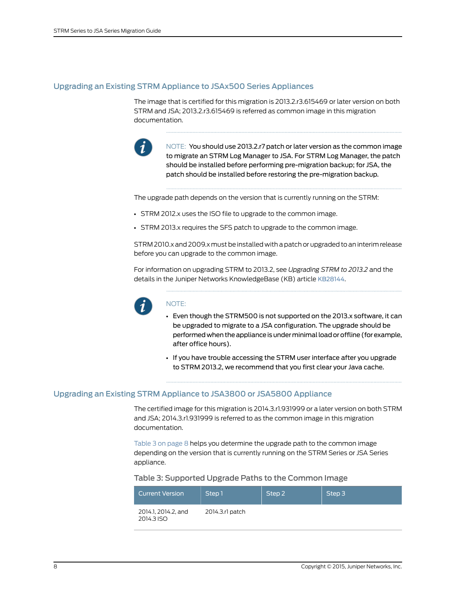### <span id="page-17-0"></span>Upgrading an Existing STRM Appliance to JSAx500 Series Appliances

The image that is certified for this migration is 2013.2.r3.615469 or later version on both STRM and JSA; 2013.2.r3.615469 is referred as common image in this migration documentation.



NOTE: You should use 2013.2.r7 patch or later version as the common image to migrate an STRM Log Manager to JSA. For STRM Log Manager, the patch should be installed before performing pre-migration backup; for JSA, the patch should be installed before restoring the pre-migration backup.

The upgrade path depends on the version that is currently running on the STRM:

- STRM 2012.x uses the ISO file to upgrade to the common image.
- STRM 2013.x requires the SFS patch to upgrade to the common image.

STRM 2010.x and 2009.xmust be installed with a patch or upgraded to an interimrelease before you can upgrade to the common image.

For information on upgrading STRM to 2013.2, see *Upgrading STRM to 2013.2* and the details in the Juniper Networks KnowledgeBase (KB) article [KB28144](http://kb.juniper.net/InfoCenter/index?page=content&;id=KB28144).



### NOTE:

- Even though the STRM500 is not supported on the 2013.x software, it can be upgraded to migrate to a JSA configuration. The upgrade should be performedwhentheapplianceisunderminimalloadoroffline(forexample, after office hours).
- If you have trouble accessing the STRM user interface after you upgrade to STRM 2013.2, we recommend that you first clear your Java cache.

### <span id="page-17-1"></span>Upgrading an Existing STRM Appliance to JSA3800 or JSA5800 Appliance

The certified image for this migration is 2014.3.r1.931999 or a later version on both STRM and JSA; 2014.3.r1.931999 is referred to as the common image in this migration documentation.

<span id="page-17-2"></span>[Table](#page-17-2) 3 on page 8 helps you determine the upgrade path to the common image depending on the version that is currently running on the STRM Series or JSA Series appliance.

### Table 3: Supported Upgrade Paths to the Common Image

| <b>Current Version</b>            | Step 1          | Step 2 | Step 3 |
|-----------------------------------|-----------------|--------|--------|
| 2014.1, 2014.2, and<br>2014.3 ISO | 2014.3.rl patch |        |        |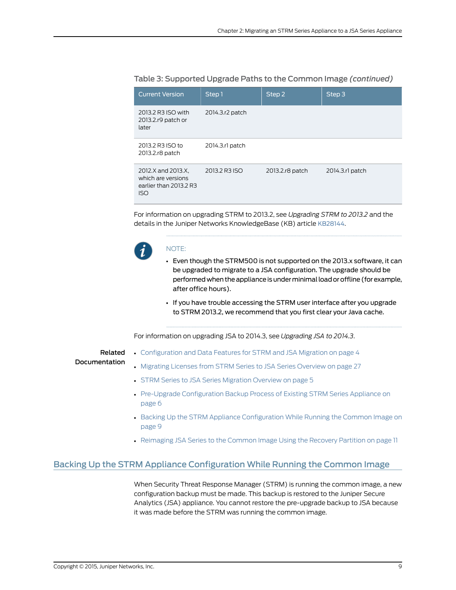| <b>Current Version</b>                                                           | Step 1          | Step 2          | Step <sub>3</sub> |
|----------------------------------------------------------------------------------|-----------------|-----------------|-------------------|
| 2013.2 R3 ISO with<br>2013.2.r9 patch or<br>later                                | 2014.3.r2 patch |                 |                   |
| 2013.2 R3 ISO to<br>2013.2.r8 patch                                              | 2014.3.rl patch |                 |                   |
| 2012.X and 2013.X,<br>which are versions<br>earlier than 2013.2 R3<br><b>ISO</b> | 2013.2 R3 ISO   | 2013.2.r8 patch | 2014.3.rl patch   |

### Table 3: Supported Upgrade Paths to the Common Image *(continued)*

For information on upgrading STRM to 2013.2, see *Upgrading STRM to 2013.2* and the details in the Juniper Networks KnowledgeBase (KB) article [KB28144](http://kb.juniper.net/InfoCenter/index?page=content&;id=KB28144).



### NOTE:

- Even though the STRM500 is not supported on the 2013.x software, it can be upgraded to migrate to a JSA configuration. The upgrade should be performed when the appliance is under minimal load or offline (for example, after office hours).
- If you have trouble accessing the STRM user interface after you upgrade to STRM 2013.2, we recommend that you first clear your Java cache.

For information on upgrading JSA to 2014.3, see *Upgrading JSA to 2014.3*.

Related Documentation

- [Configuration](#page-13-0) and Data Features for STRM and JSA Migration on page 4
- Migrating Licenses from STRM Series to JSA Series [Overview](#page-36-1) on page 27
- STRM Series to JSA Series [Migration](#page-14-1) Overview on page 5
- Pre-Upgrade [Configuration](#page-15-0) Backup Process of Existing STRM Series Appliance on [page](#page-15-0) 6
- Backing Up the STRM Appliance [Configuration](#page-18-0) While Running the Common Image on [page](#page-18-0) 9
- <span id="page-18-1"></span>• [Reimaging](#page-20-0) JSA Series to the Common Image Using the Recovery Partition on page 11

# <span id="page-18-0"></span>Backing Up the STRM Appliance Configuration While Running the Common Image

When Security Threat Response Manager (STRM) is running the common image, a new configuration backup must be made. This backup is restored to the Juniper Secure Analytics (JSA) appliance. You cannot restore the pre-upgrade backup to JSA because it was made before the STRM was running the common image.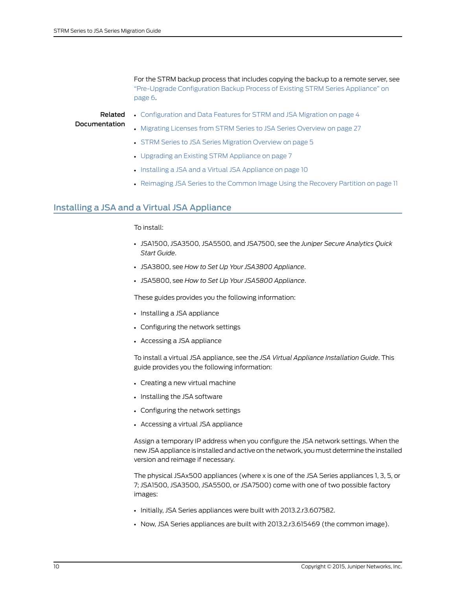For the STRM backup process that includes copying the backup to a remote server, see ["Pre-Upgrade](#page-15-0) Configuration Backup Process of Existing STRM Series Appliance" on [page](#page-15-0) 6.

# Related

• [Configuration](#page-13-0) and Data Features for STRM and JSA Migration on page 4

# Documentation

- Migrating Licenses from STRM Series to JSA Series [Overview](#page-36-1) on page 27
- STRM Series to JSA Series [Migration](#page-14-1) Overview on page 5
- [Upgrading](#page-16-0) an Existing STRM Appliance on page 7
- Installing a JSA and a Virtual JSA [Appliance](#page-19-0) on page 10
- <span id="page-19-1"></span>• [Reimaging](#page-20-0) JSA Series to the Common Image Using the Recovery Partition on page 11

# <span id="page-19-0"></span>Installing a JSA and a Virtual JSA Appliance

### To install:

- JSA1500, JSA3500, JSA5500, and JSA7500, see the *Juniper Secure Analytics Quick Start Guide*.
- JSA3800, see *How to Set Up Your JSA3800 Appliance*.
- JSA5800, see *How to Set Up Your JSA5800 Appliance*.

These guides provides you the following information:

- Installing a JSA appliance
- Configuring the network settings
- Accessing a JSA appliance

To install a virtual JSA appliance, see the *JSA Virtual Appliance Installation Guide*. This guide provides you the following information:

- Creating a new virtual machine
- Installing the JSA software
- Configuring the network settings
- Accessing a virtual JSA appliance

Assign a temporary IP address when you configure the JSA network settings. When the new JSA appliance is installed and active on the network, you must determine the installed version and reimage if necessary.

The physical JSAx500 appliances (where x is one of the JSA Series appliances 1, 3, 5, or 7; JSA1500, JSA3500, JSA5500, or JSA7500) come with one of two possible factory images:

- Initially, JSA Series appliances were built with 2013.2.r3.607582.
- Now, JSA Series appliances are built with 2013.2.r3.615469 (the common image).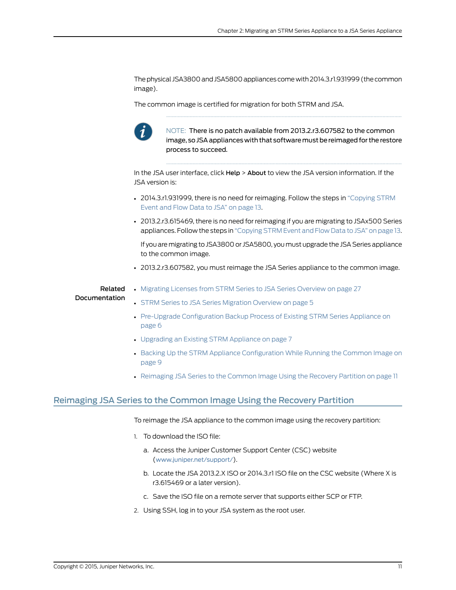The physical JSA3800 and JSA5800 appliances come with 2014.3.r1.931999 (the common image).

The common image is certified for migration for both STRM and JSA.



NOTE: There is no patch available from 2013.2.r3.607582 to the common image, so JSA appliances with that software must be reimaged for the restore process to succeed.

In the JSA user interface, click Help > About to view the JSA version information. If the JSA version is:

- 2014.3.r1.931999, there is no need for reimaging. Follow the steps in ["Copying](#page-22-0) STRM [Event](#page-22-0) and Flow Data to JSA" on page 13.
- 2013.2.r3.615469, there is no need for reimaging if you are migrating to JSAx500 Series appliances. Follow the steps in ["Copying](#page-22-0) STRM Event and Flow Data to JSA" on page 13.

If you aremigrating to JSA3800 or JSA5800, youmust upgrade the JSA Series appliance to the common image.

• 2013.2.r3.607582, you must reimage the JSA Series appliance to the common image.

#### Related Documentation • Migrating Licenses from STRM Series to JSA Series [Overview](#page-36-1) on page 27

- STRM Series to JSA Series [Migration](#page-14-1) Overview on page 5
- Pre-Upgrade [Configuration](#page-15-0) Backup Process of Existing STRM Series Appliance on [page](#page-15-0) 6
- [Upgrading](#page-16-0) an Existing STRM Appliance on page 7
- Backing Up the STRM Appliance [Configuration](#page-18-0) While Running the Common Image on [page](#page-18-0) 9
- <span id="page-20-1"></span>• [Reimaging](#page-20-0) JSA Series to the Common Image Using the Recovery Partition on page 11

### <span id="page-20-0"></span>Reimaging JSA Series to the Common Image Using the Recovery Partition

To reimage the JSA appliance to the common image using the recovery partition:

- 1. To download the ISO file:
	- a. Access the Juniper Customer Support Center (CSC) website (<www.juniper.net/support/>).
	- b. Locate the JSA 2013.2.X ISO or 2014.3.r1 ISO file on the CSC website (Where X is r3.615469 or a later version).
	- c. Save the ISO file on a remote server that supports either SCP or FTP.
- 2. Using SSH, log in to your JSA system as the root user.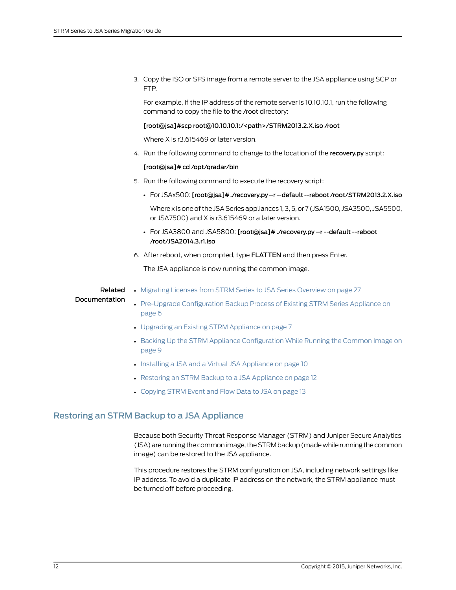3. Copy the ISO or SFS image from a remote server to the JSA appliance using SCP or FTP.

For example, if the IP address of the remote server is 10.10.10.1, run the following command to copy the file to the /root directory:

### [root@jsa]#scp root@10.10.10.1:/<path>/STRM2013.2.X.iso /root

Where X is r3.615469 or later version.

4. Run the following command to change to the location of the recovery.py script:

### [root@jsa]# cd /opt/qradar/bin

- 5. Run the following command to execute the recovery script:
	- For JSAx500: [root@jsa]# ./recovery.py –r --default --reboot /root/STRM2013.2.X.iso

Where x is one of the JSA Series appliances 1, 3, 5, or 7 (JSA1500, JSA3500, JSA5500, or JSA7500) and X is r3.615469 or a later version.

- For JSA3800 and JSA5800: [root@jsa]# ./recovery.py –r --default --reboot /root/JSA2014.3.r1.iso
- 6. After reboot, when prompted, type FLATTEN and then press Enter.

The JSA appliance is now running the common image.

#### Related • Migrating Licenses from STRM Series to JSA Series [Overview](#page-36-1) on page 27

#### Documentation

- Pre-Upgrade [Configuration](#page-15-0) Backup Process of Existing STRM Series Appliance on [page](#page-15-0) 6
- [Upgrading](#page-16-0) an Existing STRM Appliance on page 7
- Backing Up the STRM Appliance [Configuration](#page-18-0) While Running the Common Image on [page](#page-18-0) 9
- Installing a JSA and a Virtual JSA [Appliance](#page-19-0) on page 10
- Restoring an STRM Backup to a JSA [Appliance](#page-21-0) on page 12
- <span id="page-21-1"></span>• [Copying](#page-22-0) STRM Event and Flow Data to JSA on page 13

# <span id="page-21-0"></span>Restoring an STRM Backup to a JSA Appliance

Because both Security Threat Response Manager (STRM) and Juniper Secure Analytics (JSA) are running the common image, the STRM backup (made while running the common image) can be restored to the JSA appliance.

This procedure restores the STRM configuration on JSA, including network settings like IP address. To avoid a duplicate IP address on the network, the STRM appliance must be turned off before proceeding.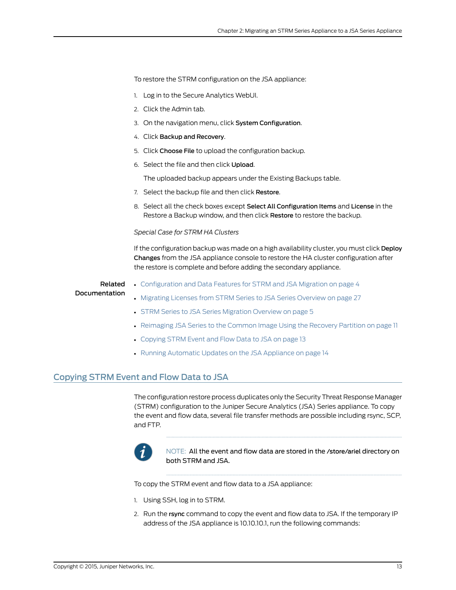To restore the STRM configuration on the JSA appliance:

- 1. Log in to the Secure Analytics WebUI.
- 2. Click the Admin tab.
- 3. On the navigation menu, click System Configuration.
- 4. Click Backup and Recovery.
- 5. Click Choose File to upload the configuration backup.
- 6. Select the file and then click Upload.

The uploaded backup appears under the Existing Backups table.

- 7. Select the backup file and then click Restore.
- 8. Select all the check boxes except Select All Configuration Items and License in the Restore a Backup window, and then click Restore to restore the backup.

### *Special Case for STRM HA Clusters*

If the configuration backup was made on a high availability cluster, you must click Deploy Changes from the JSA appliance console to restore the HA cluster configuration after the restore is complete and before adding the secondary appliance.

### Related Documentation

- [Configuration](#page-13-0) and Data Features for STRM and JSA Migration on page 4
- Migrating Licenses from STRM Series to JSA Series [Overview](#page-36-1) on page 27
- STRM Series to JSA Series [Migration](#page-14-1) Overview on page 5
- [Reimaging](#page-20-0) JSA Series to the Common Image Using the Recovery Partition on page 11
- [Copying](#page-22-0) STRM Event and Flow Data to JSA on page 13
- <span id="page-22-1"></span>• Running [Automatic](#page-23-0) Updates on the JSA Appliance on page 14

## <span id="page-22-0"></span>Copying STRM Event and Flow Data to JSA

The configuration restore process duplicates only the Security Threat Response Manager (STRM) configuration to the Juniper Secure Analytics (JSA) Series appliance. To copy the event and flow data, several file transfer methods are possible including rsync, SCP, and FTP.



NOTE: All the event and flow data are stored in the /store/ariel directory on both STRM and JSA.

To copy the STRM event and flow data to a JSA appliance:

- 1. Using SSH, log in to STRM.
- 2. Run the rsync command to copy the event and flow data to JSA. If the temporary IP address of the JSA appliance is 10.10.10.1, run the following commands: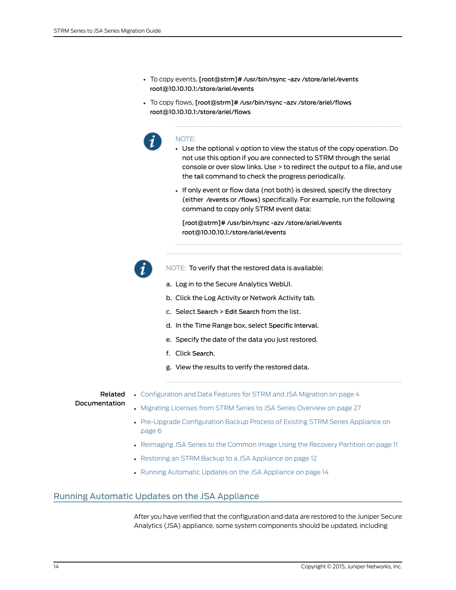- To copy events, [root@strm]# /usr/bin/rsync -azv /store/ariel/events root@10.10.10.1:/store/ariel/events
- To copy flows, [root@strm]# /usr/bin/rsync -azv /store/ariel/flows root@10.10.10.1:/store/ariel/flows



### NOTE:

- Use the optional v option to view the status of the copy operation. Do not use this option if you are connected to STRM through the serial console or over slow links. Use > to redirect the output to a file, and use the tail command to check the progress periodically.
- If only event or flow data (not both) is desired, specify the directory (either /events or /flows) specifically. For example, run the following command to copy only STRM event data:

[root@strm]# /usr/bin/rsync -azv /store/ariel/events root@10.10.10.1:/store/ariel/events

- 
- NOTE: To verify that the restored data is available:
- a. Log in to the Secure Analytics WebUI.
- b. Click the Log Activity or Network Activity tab.
- c. Select Search > Edit Search from the list.
- d. In the Time Range box, select Specific Interval.
- e. Specify the date of the data you just restored.
- f. Click Search.
- g. View the results to verify the restored data.

# Related

• [Configuration](#page-13-0) and Data Features for STRM and JSA Migration on page 4

Documentation

- Migrating Licenses from STRM Series to JSA Series [Overview](#page-36-1) on page 27
- Pre-Upgrade [Configuration](#page-15-0) Backup Process of Existing STRM Series Appliance on [page](#page-15-0) 6
- [Reimaging](#page-20-0) JSA Series to the Common Image Using the Recovery Partition on page 11
- <span id="page-23-1"></span>• Restoring an STRM Backup to a JSA [Appliance](#page-21-0) on page 12
- Running [Automatic](#page-23-0) Updates on the JSA Appliance on page 14

### <span id="page-23-0"></span>Running Automatic Updates on the JSA Appliance

After you have verified that the configuration and data are restored to the Juniper Secure Analytics (JSA) appliance, some system components should be updated, including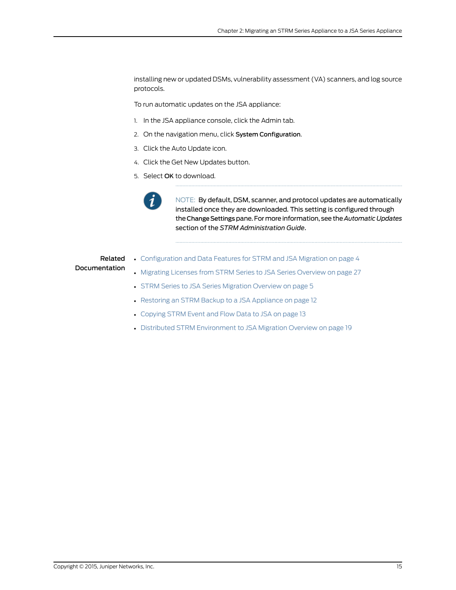installing new or updated DSMs, vulnerability assessment (VA) scanners, and log source protocols.

To run automatic updates on the JSA appliance:

- 1. In the JSA appliance console, click the Admin tab.
- 2. On the navigation menu, click System Configuration.
- 3. Click the Auto Update icon.
- 4. Click the Get New Updates button.
- 5. Select OK to download.



NOTE: By default, DSM, scanner, and protocol updates are automatically installed once they are downloaded. This setting is configured through the Change Settings pane. For more information, see the *Automatic Updates* section of the *STRM Administration Guide*.

### Related Documentation

- [Configuration](#page-13-0) and Data Features for STRM and JSA Migration on page 4
- Migrating Licenses from STRM Series to JSA Series [Overview](#page-36-1) on page 27
- STRM Series to JSA Series [Migration](#page-14-1) Overview on page 5
- Restoring an STRM Backup to a JSA [Appliance](#page-21-0) on page 12
- [Copying](#page-22-0) STRM Event and Flow Data to JSA on page 13
- Distributed STRM [Environment](#page-28-1) to JSA Migration Overview on page 19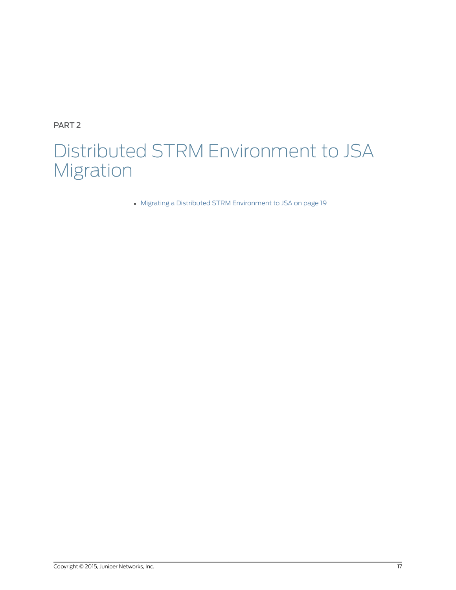<span id="page-26-0"></span>PART 2

# Distributed STRM Environment to JSA Migration

• Migrating a Distributed STRM [Environment](#page-28-0) to JSA on [page](#page-28-0) 19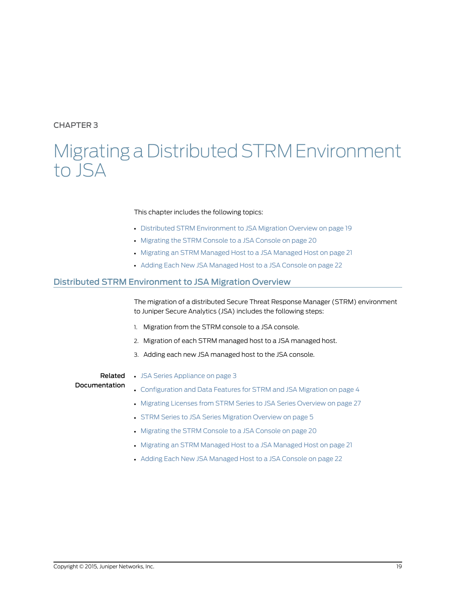# <span id="page-28-0"></span>CHAPTER 3

# Migrating a Distributed STRM Environment to JSA

### This chapter includes the following topics:

- Distributed STRM [Environment](#page-28-1) to JSA Migration Overview on [page](#page-28-1) 19
- [Migrating](#page-29-0) the STRM Console to a JSA Console on [page](#page-29-0) 20
- Migrating an STRM [Managed](#page-30-0) Host to a JSA Managed Host on [page](#page-30-0) 21
- <span id="page-28-2"></span>• Adding Each New JSA [Managed](#page-31-0) Host to a JSA Console on [page](#page-31-0) 22

### <span id="page-28-1"></span>Distributed STRM Environment to JSA Migration Overview

The migration of a distributed Secure Threat Response Manager (STRM) environment to Juniper Secure Analytics (JSA) includes the following steps:

- 1. Migration from the STRM console to a JSA console.
- 2. Migration of each STRM managed host to a JSA managed host.
- 3. Adding each new JSA managed host to the JSA console.

Related Documentation

- JSA Series [Appliance](#page-12-1) on page 3
- [Configuration](#page-13-0) and Data Features for STRM and JSA Migration on page 4
	- Migrating Licenses from STRM Series to JSA Series [Overview](#page-36-1) on page 27
	- STRM Series to JSA Series [Migration](#page-14-1) Overview on page 5
	- [Migrating](#page-29-0) the STRM Console to a JSA Console on page 20
	- Migrating an STRM [Managed](#page-30-0) Host to a JSA Managed Host on page 21
	- Adding Each New JSA [Managed](#page-31-0) Host to a JSA Console on page 22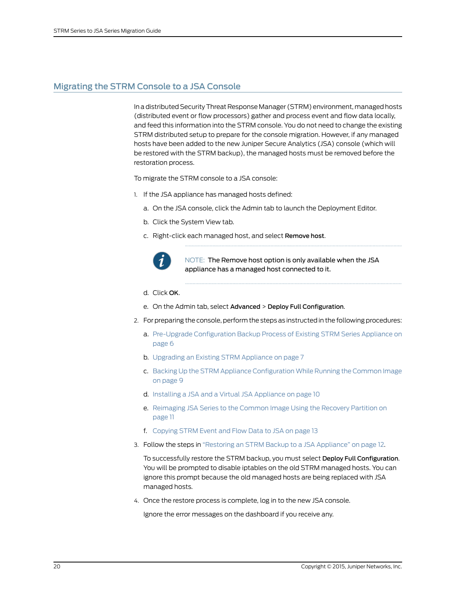# <span id="page-29-0"></span>Migrating the STRM Console to a JSA Console

<span id="page-29-1"></span>In a distributed Security Threat Response Manager (STRM) environment, managed hosts (distributed event or flow processors) gather and process event and flow data locally, and feed this information into the STRM console. You do not need to change the existing STRM distributed setup to prepare for the console migration. However, if any managed hosts have been added to the new Juniper Secure Analytics (JSA) console (which will be restored with the STRM backup), the managed hosts must be removed before the restoration process.

To migrate the STRM console to a JSA console:

- 1. If the JSA appliance has managed hosts defined:
	- a. On the JSA console, click the Admin tab to launch the Deployment Editor.
	- b. Click the System View tab.
	- c. Right-click each managed host, and select Remove host.



NOTE: The Remove host option is only available when the JSA appliance has a managed host connected to it.

- d. Click OK.
- e. On the Admin tab, select Advanced > Deploy Full Configuration.
- 2. For preparing the console, perform the steps as instructed in the following procedures:
	- a. Pre-Upgrade [Configuration](#page-15-0) Backup Process of Existing STRM Series Appliance on [page](#page-15-0) 6
	- b. [Upgrading](#page-16-0) an Existing STRM Appliance on page 7
	- c. Backing Up the STRM Appliance [Configuration](#page-18-0) While Running the Common Image on [page](#page-18-0) 9
	- d. Installing a JSA and a Virtual JSA [Appliance](#page-19-0) on page 10
	- e. [Reimaging](#page-20-0) JSA Series to the Common Image Using the Recovery Partition on [page](#page-20-0) 11
	- f. [Copying](#page-22-0) STRM Event and Flow Data to JSA on page 13
- 3. Follow the steps in "Restoring an STRM Backup to a JSA [Appliance"](#page-21-0) on page 12.

To successfully restore the STRM backup, you must select Deploy Full Configuration. You will be prompted to disable iptables on the old STRM managed hosts. You can ignore this prompt because the old managed hosts are being replaced with JSA managed hosts.

4. Once the restore process is complete, log in to the new JSA console.

Ignore the error messages on the dashboard if you receive any.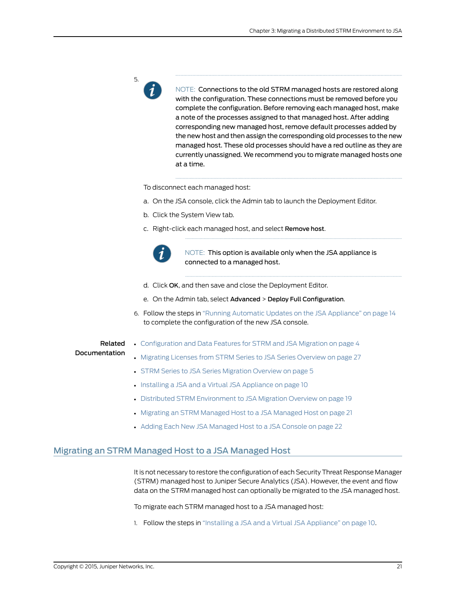

NOTE: Connections to the old STRM managed hosts are restored along with the configuration. These connections must be removed before you complete the configuration. Before removing each managed host, make a note of the processes assigned to that managed host. After adding corresponding new managed host, remove default processes added by the new host and then assign the corresponding old processes to the new managed host. These old processes should have a red outline as they are currently unassigned. We recommend you to migrate managed hosts one at a time.

To disconnect each managed host:

- a. On the JSA console, click the Admin tab to launch the Deployment Editor.
- b. Click the System View tab.
- c. Right-click each managed host, and select Remove host.



NOTE: This option is available only when the JSA appliance is connected to a managed host.

- d. Click OK, and then save and close the Deployment Editor.
- e. On the Admin tab, select Advanced > Deploy Full Configuration.
- 6. Follow the steps in "Running Automatic Updates on the JSA [Appliance"](#page-23-0) on page 14 to complete the configuration of the new JSA console.

### Related Documentation

- [Configuration](#page-13-0) and Data Features for STRM and JSA Migration on page 4
- Migrating Licenses from STRM Series to JSA Series [Overview](#page-36-1) on page 27
- STRM Series to JSA Series [Migration](#page-14-1) Overview on page 5
- Installing a JSA and a Virtual JSA [Appliance](#page-19-0) on page 10
- Distributed STRM [Environment](#page-28-1) to JSA Migration Overview on page 19
- Migrating an STRM [Managed](#page-30-0) Host to a JSA Managed Host on page 21
- <span id="page-30-1"></span>• Adding Each New JSA [Managed](#page-31-0) Host to a JSA Console on page 22

## <span id="page-30-0"></span>Migrating an STRM Managed Host to a JSA Managed Host

It is not necessary to restore the configuration of each Security Threat Response Manager (STRM) managed host to Juniper Secure Analytics (JSA). However, the event and flow data on the STRM managed host can optionally be migrated to the JSA managed host.

To migrate each STRM managed host to a JSA managed host:

1. Follow the steps in "Installing a JSA and a Virtual JSA [Appliance"](#page-19-0) on page 10.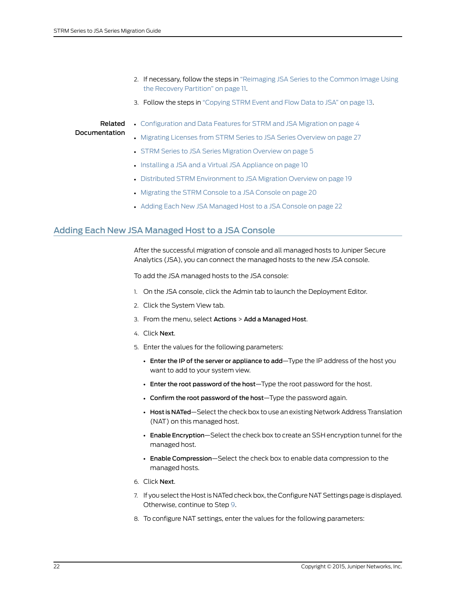- 2. If necessary, follow the steps in ["Reimaging](#page-20-0) JSA Series to the Common Image Using the Recovery [Partition"](#page-20-0) on page 11.
- 3. Follow the steps in ["Copying](#page-22-0) STRM Event and Flow Data to JSA" on page 13.

# Related

• [Configuration](#page-13-0) and Data Features for STRM and JSA Migration on page 4

#### Documentation • Migrating Licenses from STRM Series to JSA Series [Overview](#page-36-1) on page 27

- STRM Series to JSA Series [Migration](#page-14-1) Overview on page 5
- Installing a JSA and a Virtual JSA [Appliance](#page-19-0) on page 10
- Distributed STRM [Environment](#page-28-1) to JSA Migration Overview on page 19
- [Migrating](#page-29-0) the STRM Console to a JSA Console on page 20
- <span id="page-31-1"></span>• Adding Each New JSA [Managed](#page-31-0) Host to a JSA Console on page 22

# <span id="page-31-0"></span>Adding Each New JSA Managed Host to a JSA Console

After the successful migration of console and all managed hosts to Juniper Secure Analytics (JSA), you can connect the managed hosts to the new JSA console.

To add the JSA managed hosts to the JSA console:

- 1. On the JSA console, click the Admin tab to launch the Deployment Editor.
- 2. Click the System View tab.
- 3. From the menu, select Actions > Add a Managed Host.
- 4. Click Next.
- 5. Enter the values for the following parameters:
	- Enter the IP of the server or appliance to add-Type the IP address of the host you want to add to your system view.
	- Enter the root password of the host—Type the root password for the host.
	- Confirm the root password of the host—Type the password again.
	- Host is NATed—Select the check box to use an existing Network Address Translation (NAT) on this managed host.
	- Enable Encryption—Select the check box to create an SSH encryption tunnel for the managed host.
	- Enable Compression—Select the check box to enable data compression to the managed hosts.
- 6. Click Next.
- 7. If you select the Host is NATed check box, the Configure NAT Settings page is displayed. Otherwise, continue to Step [9.](#page-32-0)
- 8. To configure NAT settings, enter the values for the following parameters: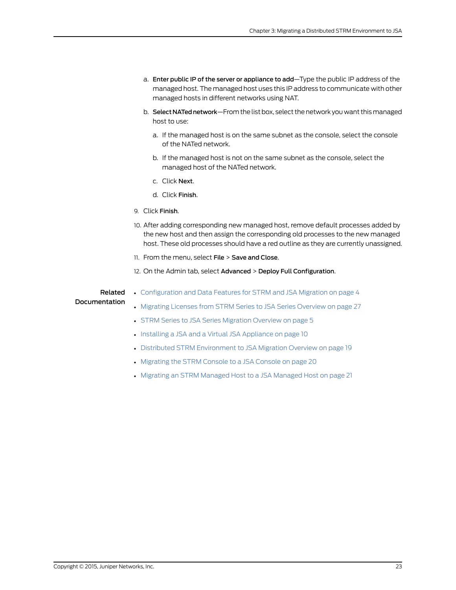- a. Enter public IP of the server or appliance to add—Type the public IP address of the managed host. The managed host uses this IP address to communicate with other managed hosts in different networks using NAT.
- b. Select NATed network—From the list box, select the network you want this managed host to use:
	- a. If the managed host is on the same subnet as the console, select the console of the NATed network.
	- b. If the managed host is not on the same subnet as the console, select the managed host of the NATed network.
	- c. Click Next.
	- d. Click Finish.
- <span id="page-32-0"></span>9. Click Finish.
- 10. After adding corresponding new managed host, remove default processes added by the new host and then assign the corresponding old processes to the new managed host. These old processes should have a red outline as they are currently unassigned.
- 11. From the menu, select File > Save and Close.
- 12. On the Admin tab, select Advanced > Deploy Full Configuration.

### Related Documentation

- [Configuration](#page-13-0) and Data Features for STRM and JSA Migration on page 4
- Migrating Licenses from STRM Series to JSA Series [Overview](#page-36-1) on page 27
- STRM Series to JSA Series [Migration](#page-14-1) Overview on page 5
- Installing a JSA and a Virtual JSA [Appliance](#page-19-0) on page 10
- Distributed STRM [Environment](#page-28-1) to JSA Migration Overview on page 19
- [Migrating](#page-29-0) the STRM Console to a JSA Console on page 20
- Migrating an STRM [Managed](#page-30-0) Host to a JSA Managed Host on page 21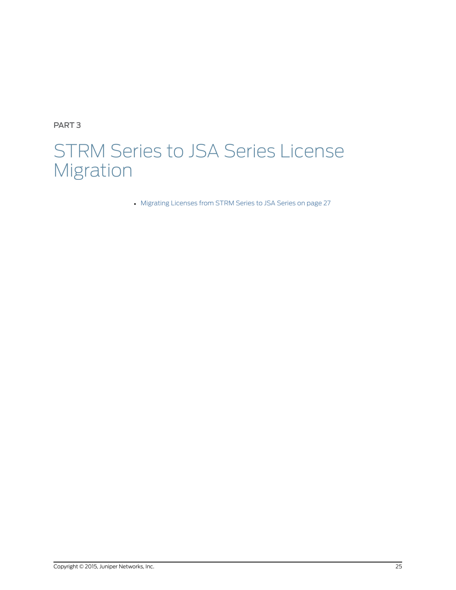<span id="page-34-0"></span>PART 3

# STRM Series to JSA Series License Migration

• [Migrating](#page-36-0) Licenses from STRM Series to JSA Series on [page](#page-36-0) 27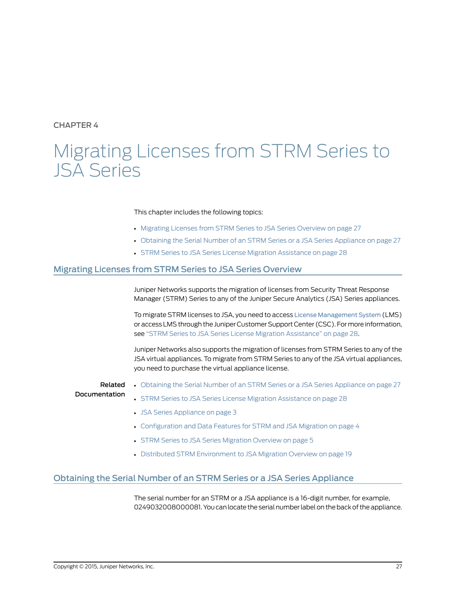<span id="page-36-0"></span>CHAPTER 4

# Migrating Licenses from STRM Series to JSA Series

### This chapter includes the following topics:

- Migrating Licenses from STRM Series to JSA Series [Overview](#page-36-1) on [page](#page-36-1) 27
- Obtaining the Serial Number of an STRM Series or a JSA Series [Appliance](#page-36-2) on [page](#page-36-2) 27
- <span id="page-36-4"></span>• STRM Series to JSA Series License Migration [Assistance](#page-37-0) on [page](#page-37-0) 28

### <span id="page-36-1"></span>Migrating Licenses from STRM Series to JSA Series Overview

Juniper Networks supports the migration of licenses from Security Threat Response Manager (STRM) Series to any of the Juniper Secure Analytics (JSA) Series appliances.

To migrate STRM licenses to JSA, you need to access License [Management](https://www.juniper.net/lcrs/license.do) System (LMS) or access LMS through the Juniper Customer Support Center (CSC). Formore information, see "STRM Series to JSA Series License Migration [Assistance"](#page-37-0) on page 28.

Juniper Networks also supports the migration of licenses from STRM Series to any of the JSA virtual appliances. To migrate from STRM Series to any of the JSA virtual appliances, you need to purchase the virtual appliance license.

#### Related Documentation • Obtaining the Serial Number of an STRM Series or a JSA Series [Appliance](#page-36-2) on page 27 • STRM Series to JSA Series License Migration [Assistance](#page-37-0) on page 28

- JSA Series [Appliance](#page-12-1) on page 3
- [Configuration](#page-13-0) and Data Features for STRM and JSA Migration on page 4
- STRM Series to JSA Series [Migration](#page-14-1) Overview on page 5
- <span id="page-36-3"></span>• Distributed STRM [Environment](#page-28-1) to JSA Migration Overview on page 19

## <span id="page-36-2"></span>Obtaining the Serial Number of an STRM Series or a JSA Series Appliance

The serial number for an STRM or a JSA appliance is a 16-digit number, for example, 0249032008000081. You can locate the serial number label on the back of the appliance.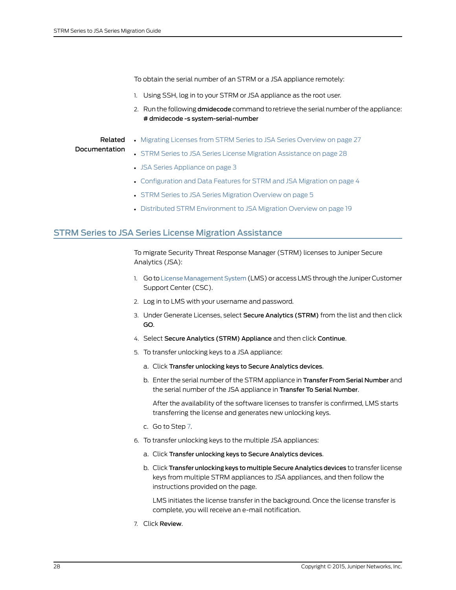To obtain the serial number of an STRM or a JSA appliance remotely:

- 1. Using SSH, log in to your STRM or JSA appliance as the root user.
- 2. Run the following dmidecode command to retrieve the serial number of the appliance: # dmidecode -s system-serial-number

#### Related Documentation

• Migrating Licenses from STRM Series to JSA Series [Overview](#page-36-1) on page 27

### • STRM Series to JSA Series License Migration [Assistance](#page-37-0) on page 28

- JSA Series [Appliance](#page-12-1) on page 3
- [Configuration](#page-13-0) and Data Features for STRM and JSA Migration on page 4
- STRM Series to JSA Series [Migration](#page-14-1) Overview on page 5
- <span id="page-37-2"></span>• Distributed STRM [Environment](#page-28-1) to JSA Migration Overview on page 19

## <span id="page-37-0"></span>STRM Series to JSA Series License Migration Assistance

To migrate Security Threat Response Manager (STRM) licenses to Juniper Secure Analytics (JSA):

- 1. Go to License Management System (LMS) or access LMS through the Juniper Customer Support Center (CSC).
- 2. Log in to LMS with your username and password.
- 3. Under Generate Licenses, select Secure Analytics (STRM) from the list and then click GO.
- 4. Select Secure Analytics (STRM) Appliance and then click Continue.
- 5. To transfer unlocking keys to a JSA appliance:
	- a. Click Transfer unlocking keys to Secure Analytics devices.
	- b. Enter the serial number of the STRM appliance in Transfer From Serial Number and the serial number of the JSA appliance in Transfer To Serial Number.

After the availability of the software licenses to transfer is confirmed, LMS starts transferring the license and generates new unlocking keys.

- c. Go to Step [7.](#page-37-1)
- <span id="page-37-1"></span>6. To transfer unlocking keys to the multiple JSA appliances:
	- a. Click Transfer unlocking keys to Secure Analytics devices.
	- b. Click Transfer unlocking keys to multiple Secure Analytics devices to transfer license keys from multiple STRM appliances to JSA appliances, and then follow the instructions provided on the page.

LMS initiates the license transfer in the background. Once the license transfer is complete, you will receive an e-mail notification.

7. Click Review.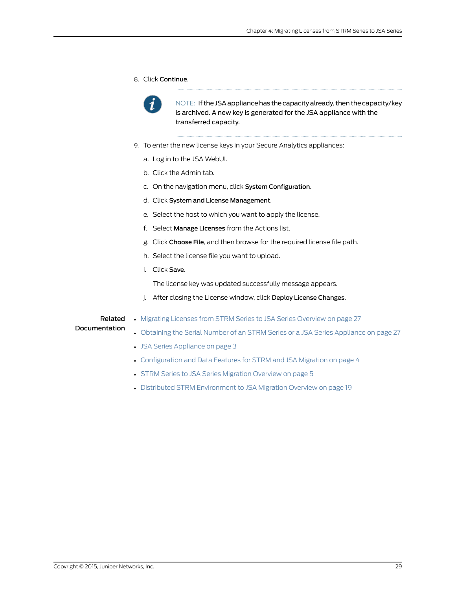8. Click Continue.



NOTE: If the JSA appliance has the capacity already, then the capacity/key is archived. A new key is generated for the JSA appliance with the transferred capacity.

- 9. To enter the new license keys in your Secure Analytics appliances:
	- a. Log in to the JSA WebUI.
	- b. Click the Admin tab.
	- c. On the navigation menu, click System Configuration.
	- d. Click System and License Management.
	- e. Select the host to which you want to apply the license.
	- f. Select Manage Licenses from the Actions list.
	- g. Click Choose File, and then browse for the required license file path.
	- h. Select the license file you want to upload.
	- i. Click Save.

The license key was updated successfully message appears.

j. After closing the License window, click Deploy License Changes.

# Related

• Migrating Licenses from STRM Series to JSA Series [Overview](#page-36-1) on page 27

### Documentation

- Obtaining the Serial Number of an STRM Series or a JSA Series [Appliance](#page-36-2) on page 27
- JSA Series [Appliance](#page-12-1) on page 3
- [Configuration](#page-13-0) and Data Features for STRM and JSA Migration on page 4
- STRM Series to JSA Series [Migration](#page-14-1) Overview on page 5
- Distributed STRM [Environment](#page-28-1) to JSA Migration Overview on page 19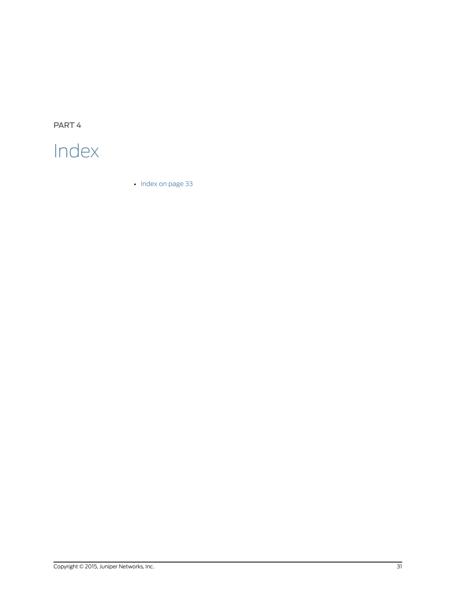<span id="page-40-0"></span>PART 4

# Index

• [Index](#page-42-0) on [page](#page-42-0) 33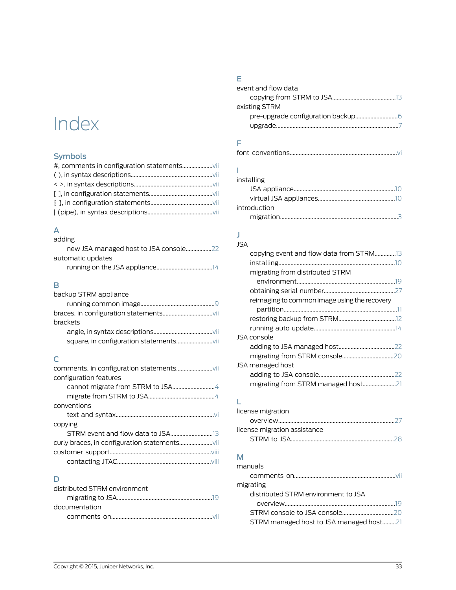# <span id="page-42-0"></span>Index

# Symbols

# A

| adding            |
|-------------------|
|                   |
| automatic updates |
|                   |

# B

| backup STRM appliance |  |
|-----------------------|--|
|                       |  |
|                       |  |
| brackets              |  |
|                       |  |
|                       |  |

# C

| configuration features |  |
|------------------------|--|
|                        |  |
|                        |  |
| conventions            |  |
|                        |  |
| copying                |  |
|                        |  |
|                        |  |
|                        |  |
|                        |  |

# D

| distributed STRM environment |  |
|------------------------------|--|
|                              |  |
| documentation                |  |
|                              |  |

# E

| event and flow data |  |
|---------------------|--|
|                     |  |
| existing STRM       |  |
|                     |  |
|                     |  |
|                     |  |

# F

# I

| installing   |  |
|--------------|--|
|              |  |
|              |  |
| introduction |  |
|              |  |

## J JSA

| copying event and flow data from STRM13      |  |
|----------------------------------------------|--|
|                                              |  |
| migrating from distributed STRM              |  |
|                                              |  |
|                                              |  |
| reimaging to common image using the recovery |  |
|                                              |  |
|                                              |  |
|                                              |  |
| JSA console                                  |  |
|                                              |  |
|                                              |  |
| JSA managed host                             |  |
|                                              |  |
| migrating from STRM managed host21           |  |
|                                              |  |

# L

| license migration            |  |
|------------------------------|--|
|                              |  |
| license migration assistance |  |
|                              |  |

# M

| manuals                                 |  |
|-----------------------------------------|--|
|                                         |  |
| migrating                               |  |
| distributed STRM environment to JSA     |  |
|                                         |  |
|                                         |  |
| STRM managed host to JSA managed host21 |  |